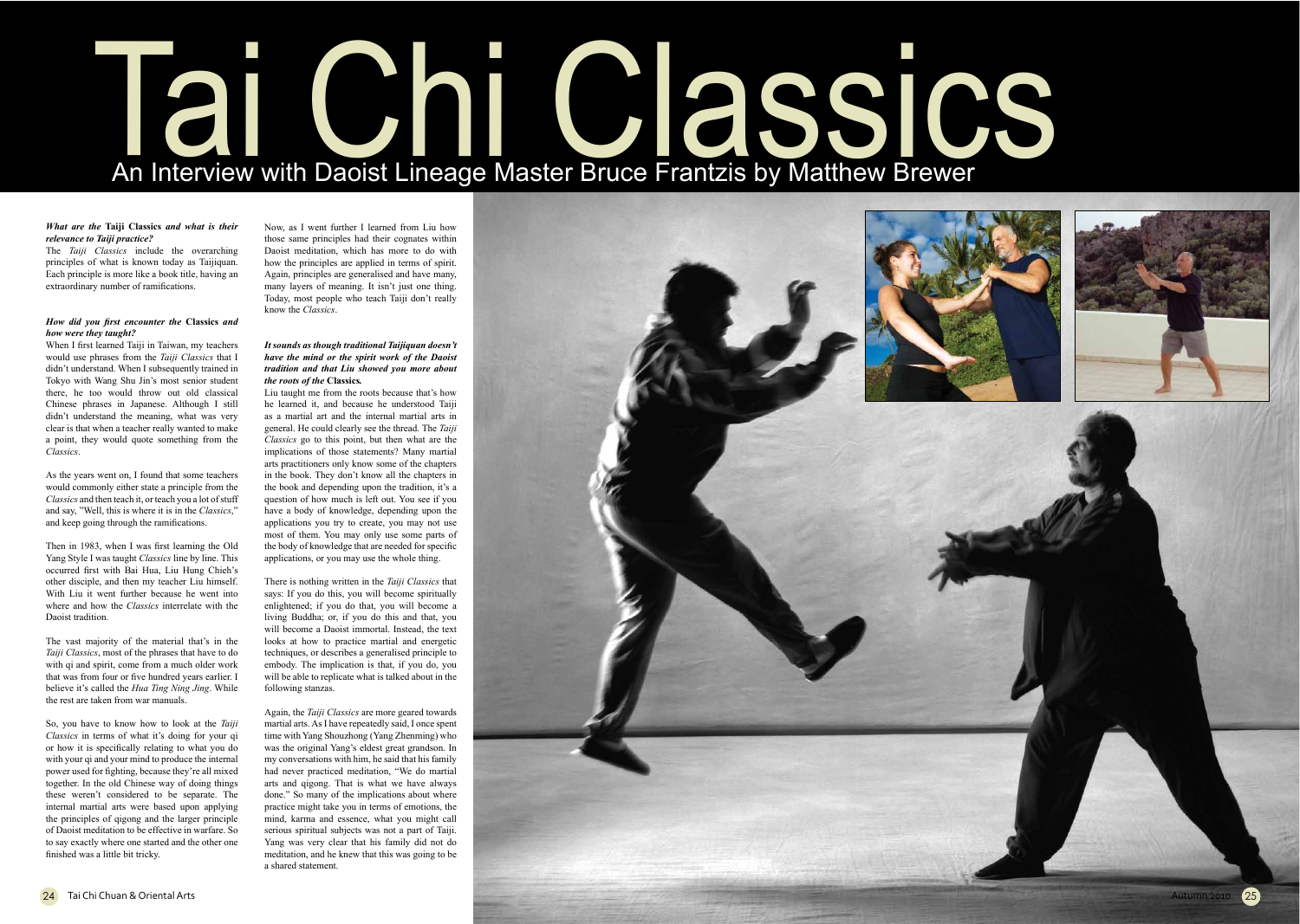# Tai Chi Classics An Interview with Daoist Lineage Master Bruce Frantzis by Matthew Brewer

### What are the Taiji Classics and what is their relevance to Taiji practice?

The Taiji Classics include the overarching principles of what is known today as Taijiquan. Each principle is more like a book title, having an extraordinary number of ramifications.

# How did you first encounter the Classics and how were they taught?

When I first learned Taiji in Taiwan, my teachers would use phrases from the Taiji Classics that I didn't understand. When I subsequently trained in Tokyo with Wang Shu Jin's most senior student there, he too would throw out old classical Chinese phrases in Japanese. Although I still didn't understand the meaning, what was very clear is that when a teacher really wanted to make a point, they would quote something from the Classics.

As the years went on, I found that some teachers would commonly either state a principle from the Classics and then teach it, or teach you a lot of stuff and say, "Well, this is where it is in the Classics," and keep going through the ramifications.

Then in 1983, when I was first learning the Old Yang Style I was taught Classics line by line. This occurred first with Bai Hua, Liu Hung Chieh's other disciple, and then my teacher Liu himself. With Liu it went further because he went into where and how the *Classics* interrelate with the Daoist tradition

The vast majority of the material that's in the *Taiji Classics*, most of the phrases that have to do with qi and spirit, come from a much older work that was from four or five hundred years earlier. I believe it's called the Hua Ting Ning Jing. While the rest are taken from war manuals.

So, you have to know how to look at the Taiji Classics in terms of what it's doing for your qi or how it is specifically relating to what you do with your qi and your mind to produce the internal power used for fighting, because they're all mixed together. In the old Chinese way of doing things these weren't considered to be separate. The internal martial arts were based upon applying the principles of gigong and the larger principle of Daoist meditation to be effective in warfare. So to say exactly where one started and the other one finished was a little bit tricky.

Now, as I went further I learned from Liu how those same principles had their cognates within Daoist meditation, which has more to do with how the principles are applied in terms of spirit. Again, principles are generalised and have many. many layers of meaning. It isn't just one thing. Today, most people who teach Taiji don't really know the Classics

# It sounds as though traditional Taijiquan doesn't have the mind or the spirit work of the Daoist tradition and that Liu showed you more about the roots of the Classics.

Liu taught me from the roots because that's how he learned it, and because he understood Taiji as a martial art and the internal martial arts in general. He could clearly see the thread. The Taiji Classics go to this point, but then what are the implications of those statements? Many martial arts practitioners only know some of the chapters in the book. They don't know all the chapters in the book and depending upon the tradition, it's a question of how much is left out. You see if you have a body of knowledge, depending upon the applications you try to create, you may not use most of them. You may only use some parts of the body of knowledge that are needed for specific applications, or you may use the whole thing.

There is nothing written in the Taiji Classics that says: If you do this, you will become spiritually enlightened; if you do that, you will become a living Buddha; or, if you do this and that, you will become a Daoist immortal. Instead, the text looks at how to practice martial and energetic techniques, or describes a generalised principle to embody. The implication is that, if you do, you will be able to replicate what is talked about in the following stanzas.

Again, the Taiji Classics are more geared towards martial arts. As I have repeatedly said, I once spent time with Yang Shouzhong (Yang Zhenming) who was the original Yang's eldest great grandson. In my conversations with him, he said that his family had never practiced meditation, "We do martial arts and qigong. That is what we have always done." So many of the implications about where practice might take you in terms of emotions, the mind, karma and essence, what you might call serious spiritual subjects was not a part of Taiji. Yang was very clear that his family did not do meditation, and he knew that this was going to be a shared statement.







Autumn 2010

 $(25)$